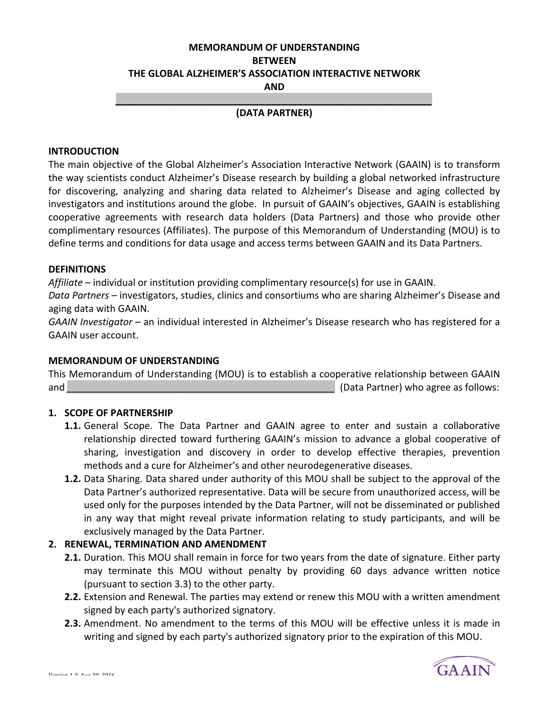# **MEMORANDUM OF UNDERSTANDING BETWEEN THE GLOBAL ALZHEIMER'S ASSOCIATION INTERACTIVE NETWORK AND**

### *\_\_\_\_\_\_\_\_\_\_\_\_\_\_\_\_\_\_\_\_\_\_\_\_\_\_\_\_\_\_\_\_\_\_\_\_\_\_\_\_\_\_\_\_\_\_\_\_\_\_\_\_\_\_\_\_\_\_\_*  **(DATA PARTNER)**

#### **INTRODUCTION**

The main objective of the Global Alzheimer's Association Interactive Network (GAAIN) is to transform the way scientists conduct Alzheimer's Disease research by building a global networked infrastructure for discovering, analyzing and sharing data related to Alzheimer's Disease and aging collected by investigators and institutions around the globe. In pursuit of GAAIN's objectives, GAAIN is establishing cooperative agreements with research data holders (Data Partners) and those who provide other complimentary resources (Affiliates). The purpose of this Memorandum of Understanding (MOU) is to define terms and conditions for data usage and access terms between GAAIN and its Data Partners.

#### **DEFINITIONS**

Affiliate – individual or institution providing complimentary resource(s) for use in GAAIN.

Data Partners – investigators, studies, clinics and consortiums who are sharing Alzheimer's Disease and aging data with GAAIN.

*GAAIN Investigator* – an individual interested in Alzheimer's Disease research who has registered for a GAAIN user account.

#### **MEMORANDUM OF UNDERSTANDING**

This Memorandum of Understanding (MOU) is to establish a cooperative relationship between GAAIN and *\_\_\_\_\_\_\_\_\_\_\_\_\_\_\_\_\_\_\_\_\_\_\_\_\_\_\_\_\_\_\_\_\_\_\_\_\_\_\_\_\_\_\_\_\_\_\_\_\_\_* (Data Partner) who agree as follows:

### **1. SCOPE OF PARTNERSHIP**

- **1.1.** General Scope. The Data Partner and GAAIN agree to enter and sustain a collaborative relationship directed toward furthering GAAIN's mission to advance a global cooperative of sharing, investigation and discovery in order to develop effective therapies, prevention methods and a cure for Alzheimer's and other neurodegenerative diseases.
- **1.2.** Data Sharing. Data shared under authority of this MOU shall be subject to the approval of the Data Partner's authorized representative. Data will be secure from unauthorized access, will be used only for the purposes intended by the Data Partner, will not be disseminated or published in any way that might reveal private information relating to study participants, and will be exclusively managed by the Data Partner.

### **2. RENEWAL, TERMINATION AND AMENDMENT**

- **2.1.** Duration. This MOU shall remain in force for two years from the date of signature. Either party may terminate this MOU without penalty by providing 60 days advance written notice (pursuant to section 3.3) to the other party.
- **2.2.** Extension and Renewal. The parties may extend or renew this MOU with a written amendment signed by each party's authorized signatory.
- **2.3.** Amendment. No amendment to the terms of this MOU will be effective unless it is made in writing and signed by each party's authorized signatory prior to the expiration of this MOU.

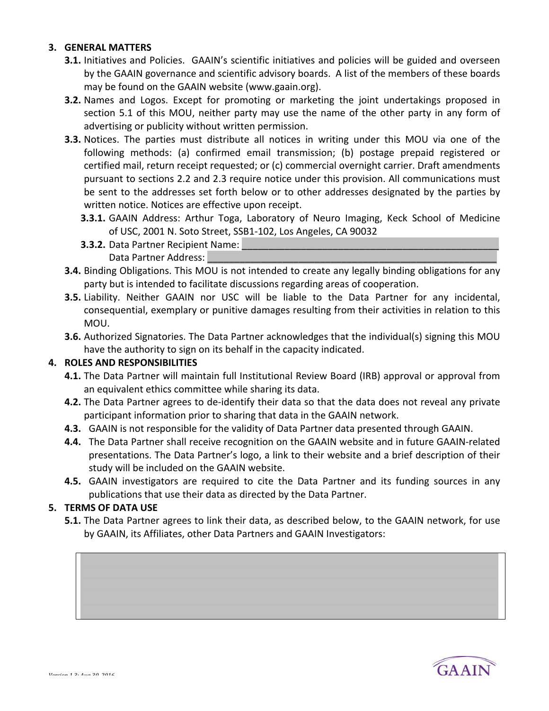### **3. GENERAL MATTERS**

- **3.1.** Initiatives and Policies. GAAIN's scientific initiatives and policies will be guided and overseen by the GAAIN governance and scientific advisory boards. A list of the members of these boards may be found on the GAAIN website (www.gaain.org).
- **3.2.** Names and Logos. Except for promoting or marketing the joint undertakings proposed in section 5.1 of this MOU, neither party may use the name of the other party in any form of advertising or publicity without written permission.
- **3.3.** Notices. The parties must distribute all notices in writing under this MOU via one of the following methods: (a) confirmed email transmission; (b) postage prepaid registered or certified mail, return receipt requested; or (c) commercial overnight carrier. Draft amendments pursuant to sections 2.2 and 2.3 require notice under this provision. All communications must be sent to the addresses set forth below or to other addresses designated by the parties by written notice. Notices are effective upon receipt.
	- **3.3.1.** GAAIN Address: Arthur Toga, Laboratory of Neuro Imaging, Keck School of Medicine of USC, 2001 N. Soto Street, SSB1-102, Los Angeles, CA 90032
	- **3.3.2.** Data Partner Recipient Name: Data Partner Address:
- **3.4.** Binding Obligations. This MOU is not intended to create any legally binding obligations for any party but is intended to facilitate discussions regarding areas of cooperation.
- **3.5.** Liability. Neither GAAIN nor USC will be liable to the Data Partner for any incidental, consequential, exemplary or punitive damages resulting from their activities in relation to this MOU.
- **3.6.** Authorized Signatories. The Data Partner acknowledges that the individual(s) signing this MOU have the authority to sign on its behalf in the capacity indicated.

## **4. ROLES AND RESPONSIBILITIES**

- **4.1.** The Data Partner will maintain full Institutional Review Board (IRB) approval or approval from an equivalent ethics committee while sharing its data.
- **4.2.** The Data Partner agrees to de-identify their data so that the data does not reveal any private participant information prior to sharing that data in the GAAIN network.
- **4.3.** GAAIN is not responsible for the validity of Data Partner data presented through GAAIN.
- **4.4.** The Data Partner shall receive recognition on the GAAIN website and in future GAAIN-related presentations. The Data Partner's logo, a link to their website and a brief description of their study will be included on the GAAIN website.
- **4.5.** GAAIN investigators are required to cite the Data Partner and its funding sources in any publications that use their data as directed by the Data Partner.

### **5. TERMS OF DATA USE**

**5.1.** The Data Partner agrees to link their data, as described below, to the GAAIN network, for use by GAAIN, its Affiliates, other Data Partners and GAAIN Investigators: